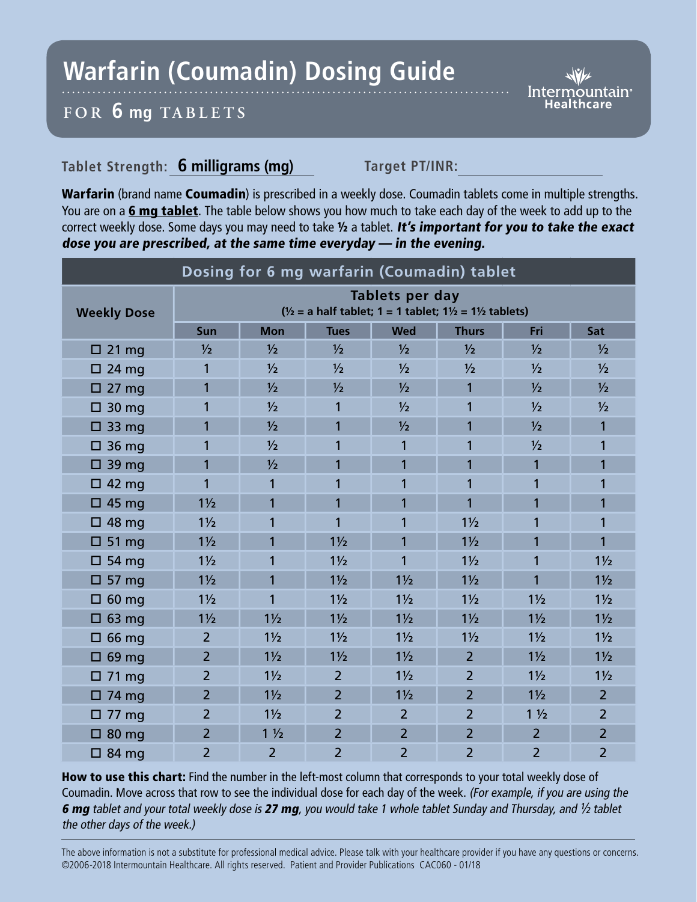## **Warfarin (Coumadin) Dosing Guide**

*Intermountain*<sup>®</sup>

## **FOR 6 mg TABL ETS**

## Tablet Strength: 6 milligrams (mg) Target PT/INR:

Warfarin (brand name Coumadin) is prescribed in a weekly dose. Coumadin tablets come in multiple strengths. You are on a 6 mg tablet. The table below shows you how much to take each day of the week to add up to the correct weekly dose. Some days you may need to take  $\frac{1}{2}$  a tablet. It's important for you to take the exact dose you are prescribed, at the same time everyday — in the evening.

| Dosing for 6 mg warfarin (Coumadin) tablet |                                                                                                            |                |                |                |                |                |                |
|--------------------------------------------|------------------------------------------------------------------------------------------------------------|----------------|----------------|----------------|----------------|----------------|----------------|
| <b>Weekly Dose</b>                         | Tablets per day<br>$\frac{1}{2}$ = a half tablet; 1 = 1 tablet; 1 $\frac{1}{2}$ = 1 $\frac{1}{2}$ tablets) |                |                |                |                |                |                |
|                                            | Sun                                                                                                        | <b>Mon</b>     | <b>Tues</b>    | <b>Wed</b>     | <b>Thurs</b>   | Fri            | Sat            |
| $\Box$ 21 mg                               | $\frac{1}{2}$                                                                                              | $\frac{1}{2}$  | $\frac{1}{2}$  | $\frac{1}{2}$  | $\frac{1}{2}$  | $\frac{1}{2}$  | $\frac{1}{2}$  |
| $\Box$ 24 mg                               | 1                                                                                                          | $\frac{1}{2}$  | $\frac{1}{2}$  | $\frac{1}{2}$  | $\frac{1}{2}$  | $\frac{1}{2}$  | $\frac{1}{2}$  |
| $\Box$ 27 mg                               | 1                                                                                                          | $\frac{1}{2}$  | $\frac{1}{2}$  | $\frac{1}{2}$  | $\mathbf{1}$   | $\frac{1}{2}$  | $\frac{1}{2}$  |
| $\Box$ 30 mg                               | 1                                                                                                          | $\frac{1}{2}$  | 1              | $\frac{1}{2}$  | 1              | $\frac{1}{2}$  | $\frac{1}{2}$  |
| $\Box$ 33 mg                               | 1                                                                                                          | $\frac{1}{2}$  | 1              | $\frac{1}{2}$  | 1              | $\frac{1}{2}$  | 1              |
| $\Box$ 36 mg                               | 1                                                                                                          | $\frac{1}{2}$  | 1              | 1              | 1              | $\frac{1}{2}$  | 1              |
| $\Box$ 39 mg                               | 1                                                                                                          | 1/2            | 1              | 1              | 1              | $\mathbf{1}$   | 1              |
| $\Box$ 42 mg                               | 1                                                                                                          | 1              | 1              | 1              | 1              | 1              | 1              |
| $\Box$ 45 mg                               | $1\frac{1}{2}$                                                                                             | $\overline{1}$ | 1              | 1              | $\overline{1}$ | $\overline{1}$ | 1              |
| $\Box$ 48 mg                               | $1\frac{1}{2}$                                                                                             | 1              | 1              | 1              | $1\frac{1}{2}$ | 1              | 1              |
| $\square$ 51 mg                            | $1\frac{1}{2}$                                                                                             | $\overline{1}$ | $1\frac{1}{2}$ | $\overline{1}$ | $1\frac{1}{2}$ | $\overline{1}$ | 1              |
| $\Box$ 54 mg                               | $1\frac{1}{2}$                                                                                             | 1              | $1\frac{1}{2}$ | 1              | $1\frac{1}{2}$ | 1              | $1\frac{1}{2}$ |
| $\Box$ 57 mg                               | $1\frac{1}{2}$                                                                                             | 1              | $1\frac{1}{2}$ | $1\frac{1}{2}$ | $1\frac{1}{2}$ | 1              | $1\frac{1}{2}$ |
| $\square$ 60 mg                            | $1\frac{1}{2}$                                                                                             | $\overline{1}$ | $1\frac{1}{2}$ | $1\frac{1}{2}$ | $1\frac{1}{2}$ | $1\frac{1}{2}$ | $1\frac{1}{2}$ |
| $\Box$ 63 mg                               | $1\frac{1}{2}$                                                                                             | $1\frac{1}{2}$ | $1\frac{1}{2}$ | $1\frac{1}{2}$ | $1\frac{1}{2}$ | $1\frac{1}{2}$ | $1\frac{1}{2}$ |
| $\Box$ 66 mg                               | $\overline{2}$                                                                                             | $1\frac{1}{2}$ | $1\frac{1}{2}$ | $1\frac{1}{2}$ | $1\frac{1}{2}$ | $1\frac{1}{2}$ | $1\frac{1}{2}$ |
| $\Box$ 69 mg                               | $\overline{2}$                                                                                             | $1\frac{1}{2}$ | $1\frac{1}{2}$ | $1\frac{1}{2}$ | $\overline{2}$ | $1\frac{1}{2}$ | $1\frac{1}{2}$ |
| $\Box$ 71 mg                               | $\overline{2}$                                                                                             | $1\frac{1}{2}$ | $\overline{2}$ | $1\frac{1}{2}$ | $\overline{2}$ | $1\frac{1}{2}$ | $1\frac{1}{2}$ |
| $\Box$ 74 mg                               | $\overline{2}$                                                                                             | $1\frac{1}{2}$ | $\overline{2}$ | $1\frac{1}{2}$ | $\overline{2}$ | $1\frac{1}{2}$ | $\overline{2}$ |
| $\Box$ 77 mg                               | $\overline{2}$                                                                                             | $1\frac{1}{2}$ | $\overline{2}$ | $\overline{2}$ | $\overline{2}$ | $1\frac{1}{2}$ | $\overline{2}$ |
| $\Box$ 80 mg                               | $\overline{2}$                                                                                             | $1\frac{1}{2}$ | $\overline{2}$ | $\overline{2}$ | $\overline{2}$ | $\overline{2}$ | $\overline{2}$ |
| $\Box$ 84 mg                               | $\overline{2}$                                                                                             | $\overline{2}$ | $\overline{2}$ | $\overline{2}$ | $\overline{2}$ | $\overline{2}$ | $\overline{2}$ |

How to use this chart: Find the number in the left-most column that corresponds to your total weekly dose of Coumadin. Move across that row to see the individual dose for each day of the week. (For example, if you are using the 6 mg tablet and your total weekly dose is 27 mg, you would take 1 whole tablet Sunday and Thursday, and  $\frac{1}{2}$  tablet the other days of the week.)

The above information is not a substitute for professional medical advice. Please talk with your healthcare provider if you have any questions or concerns. ©2006-2018 Intermountain Healthcare. All rights reserved. Patient and Provider Publications CAC060 - 01/18